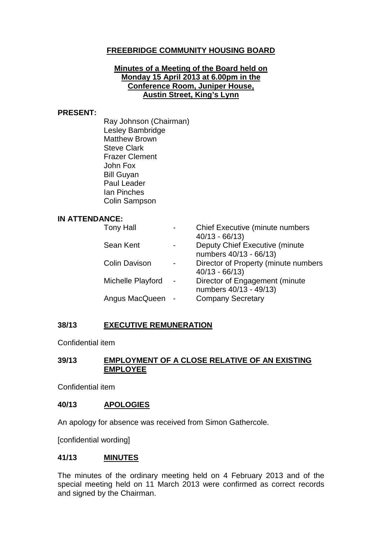# **FREEBRIDGE COMMUNITY HOUSING BOARD**

#### **Minutes of a Meeting of the Board held on Monday 15 April 2013 at 6.00pm in the Conference Room, Juniper House, Austin Street, King's Lynn**

#### **PRESENT:**

Ray Johnson (Chairman) Lesley Bambridge Matthew Brown Steve Clark Frazer Clement John Fox Bill Guyan Paul Leader Ian Pinches Colin Sampson

#### **IN ATTENDANCE:**

| <b>Tony Hall</b>     | $\overline{\phantom{0}}$ | Chief Executive (minute numbers<br>$40/13 - 66/13$       |
|----------------------|--------------------------|----------------------------------------------------------|
| Sean Kent            |                          | Deputy Chief Executive (minute<br>numbers 40/13 - 66/13) |
| <b>Colin Davison</b> | -                        | Director of Property (minute numbers<br>$40/13 - 66/13$  |
| Michelle Playford    | $\blacksquare$           | Director of Engagement (minute<br>numbers 40/13 - 49/13) |
| Angus MacQueen       |                          | <b>Company Secretary</b>                                 |

#### **38/13 EXECUTIVE REMUNERATION**

Confidential item

### **39/13 EMPLOYMENT OF A CLOSE RELATIVE OF AN EXISTING EMPLOYEE**

Confidential item

# **40/13 APOLOGIES**

An apology for absence was received from Simon Gathercole.

[confidential wording]

#### **41/13 MINUTES**

The minutes of the ordinary meeting held on 4 February 2013 and of the special meeting held on 11 March 2013 were confirmed as correct records and signed by the Chairman.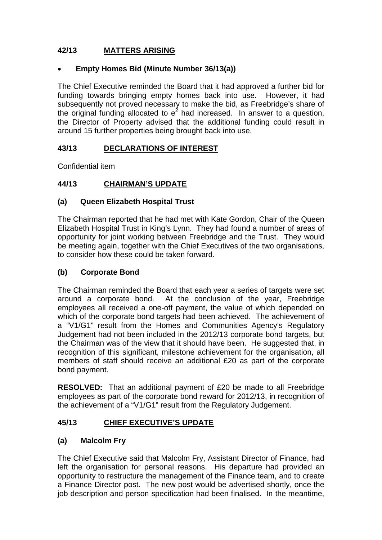# **42/13 MATTERS ARISING**

# • **Empty Homes Bid (Minute Number 36/13(a))**

The Chief Executive reminded the Board that it had approved a further bid for funding towards bringing empty homes back into use. However, it had subsequently not proved necessary to make the bid, as Freebridge's share of the original funding allocated to  $e^2$  had increased. In answer to a question, the Director of Property advised that the additional funding could result in around 15 further properties being brought back into use.

# **43/13 DECLARATIONS OF INTEREST**

Confidential item

# **44/13 CHAIRMAN'S UPDATE**

# **(a) Queen Elizabeth Hospital Trust**

The Chairman reported that he had met with Kate Gordon, Chair of the Queen Elizabeth Hospital Trust in King's Lynn. They had found a number of areas of opportunity for joint working between Freebridge and the Trust. They would be meeting again, together with the Chief Executives of the two organisations, to consider how these could be taken forward.

# **(b) Corporate Bond**

The Chairman reminded the Board that each year a series of targets were set around a corporate bond. At the conclusion of the year, Freebridge employees all received a one-off payment, the value of which depended on which of the corporate bond targets had been achieved. The achievement of a "V1/G1" result from the Homes and Communities Agency's Regulatory Judgement had not been included in the 2012/13 corporate bond targets, but the Chairman was of the view that it should have been. He suggested that, in recognition of this significant, milestone achievement for the organisation, all members of staff should receive an additional £20 as part of the corporate bond payment.

**RESOLVED:** That an additional payment of £20 be made to all Freebridge employees as part of the corporate bond reward for 2012/13, in recognition of the achievement of a "V1/G1" result from the Regulatory Judgement.

# **45/13 CHIEF EXECUTIVE'S UPDATE**

# **(a) Malcolm Fry**

The Chief Executive said that Malcolm Fry, Assistant Director of Finance, had left the organisation for personal reasons. His departure had provided an opportunity to restructure the management of the Finance team, and to create a Finance Director post. The new post would be advertised shortly, once the job description and person specification had been finalised. In the meantime,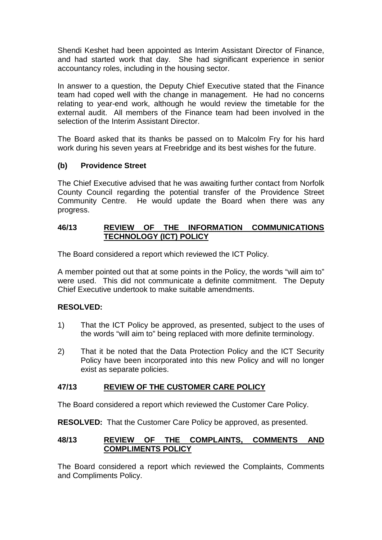Shendi Keshet had been appointed as Interim Assistant Director of Finance, and had started work that day. She had significant experience in senior accountancy roles, including in the housing sector.

In answer to a question, the Deputy Chief Executive stated that the Finance team had coped well with the change in management. He had no concerns relating to year-end work, although he would review the timetable for the external audit. All members of the Finance team had been involved in the selection of the Interim Assistant Director.

The Board asked that its thanks be passed on to Malcolm Fry for his hard work during his seven years at Freebridge and its best wishes for the future.

# **(b) Providence Street**

The Chief Executive advised that he was awaiting further contact from Norfolk County Council regarding the potential transfer of the Providence Street Community Centre. He would update the Board when there was any progress.

#### **46/13 REVIEW OF THE INFORMATION COMMUNICATIONS TECHNOLOGY (ICT) POLICY**

The Board considered a report which reviewed the ICT Policy.

A member pointed out that at some points in the Policy, the words "will aim to" were used. This did not communicate a definite commitment. The Deputy Chief Executive undertook to make suitable amendments.

# **RESOLVED:**

- 1) That the ICT Policy be approved, as presented, subject to the uses of the words "will aim to" being replaced with more definite terminology.
- 2) That it be noted that the Data Protection Policy and the ICT Security Policy have been incorporated into this new Policy and will no longer exist as separate policies.

# **47/13 REVIEW OF THE CUSTOMER CARE POLICY**

The Board considered a report which reviewed the Customer Care Policy.

**RESOLVED:** That the Customer Care Policy be approved, as presented.

### **48/13 REVIEW OF THE COMPLAINTS, COMMENTS AND COMPLIMENTS POLICY**

The Board considered a report which reviewed the Complaints, Comments and Compliments Policy.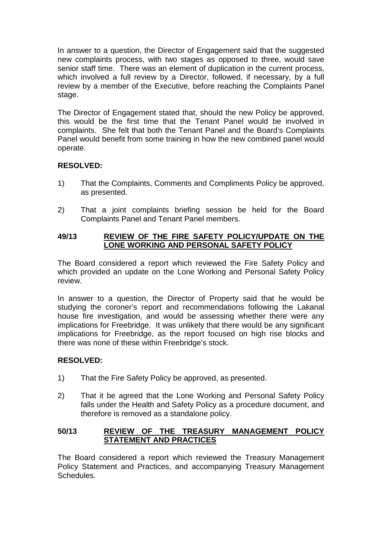In answer to a question, the Director of Engagement said that the suggested new complaints process, with two stages as opposed to three, would save senior staff time. There was an element of duplication in the current process, which involved a full review by a Director, followed, if necessary, by a full review by a member of the Executive, before reaching the Complaints Panel stage.

The Director of Engagement stated that, should the new Policy be approved, this would be the first time that the Tenant Panel would be involved in complaints. She felt that both the Tenant Panel and the Board's Complaints Panel would benefit from some training in how the new combined panel would operate.

# **RESOLVED:**

- 1) That the Complaints, Comments and Compliments Policy be approved, as presented.
- 2) That a joint complaints briefing session be held for the Board Complaints Panel and Tenant Panel members.

### **49/13 REVIEW OF THE FIRE SAFETY POLICY/UPDATE ON THE LONE WORKING AND PERSONAL SAFETY POLICY**

The Board considered a report which reviewed the Fire Safety Policy and which provided an update on the Lone Working and Personal Safety Policy review.

In answer to a question, the Director of Property said that he would be studying the coroner's report and recommendations following the Lakanal house fire investigation, and would be assessing whether there were any implications for Freebridge. It was unlikely that there would be any significant implications for Freebridge, as the report focused on high rise blocks and there was none of these within Freebridge's stock.

# **RESOLVED:**

- 1) That the Fire Safety Policy be approved, as presented.
- 2) That it be agreed that the Lone Working and Personal Safety Policy falls under the Health and Safety Policy as a procedure document, and therefore is removed as a standalone policy.

# **50/13 REVIEW OF THE TREASURY MANAGEMENT POLICY STATEMENT AND PRACTICES**

The Board considered a report which reviewed the Treasury Management Policy Statement and Practices, and accompanying Treasury Management **Schedules**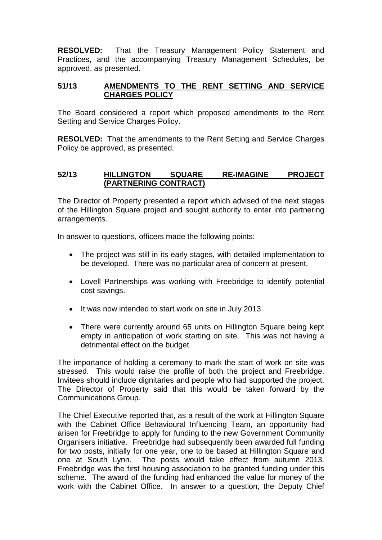**RESOLVED:** That the Treasury Management Policy Statement and Practices, and the accompanying Treasury Management Schedules, be approved, as presented.

### **51/13 AMENDMENTS TO THE RENT SETTING AND SERVICE CHARGES POLICY**

The Board considered a report which proposed amendments to the Rent Setting and Service Charges Policy.

**RESOLVED:** That the amendments to the Rent Setting and Service Charges Policy be approved, as presented.

### **52/13 HILLINGTON SQUARE RE-IMAGINE PROJECT (PARTNERING CONTRACT)**

The Director of Property presented a report which advised of the next stages of the Hillington Square project and sought authority to enter into partnering arrangements.

In answer to questions, officers made the following points:

- The project was still in its early stages, with detailed implementation to be developed. There was no particular area of concern at present.
- Lovell Partnerships was working with Freebridge to identify potential cost savings.
- It was now intended to start work on site in July 2013.
- There were currently around 65 units on Hillington Square being kept empty in anticipation of work starting on site. This was not having a detrimental effect on the budget.

The importance of holding a ceremony to mark the start of work on site was stressed. This would raise the profile of both the project and Freebridge. Invitees should include dignitaries and people who had supported the project. The Director of Property said that this would be taken forward by the Communications Group.

The Chief Executive reported that, as a result of the work at Hillington Square with the Cabinet Office Behavioural Influencing Team, an opportunity had arisen for Freebridge to apply for funding to the new Government Community Organisers initiative. Freebridge had subsequently been awarded full funding for two posts, initially for one year, one to be based at Hillington Square and one at South Lynn. The posts would take effect from autumn 2013. Freebridge was the first housing association to be granted funding under this scheme. The award of the funding had enhanced the value for money of the work with the Cabinet Office. In answer to a question, the Deputy Chief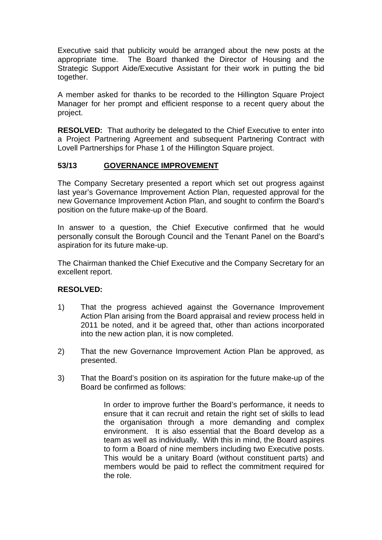Executive said that publicity would be arranged about the new posts at the appropriate time. The Board thanked the Director of Housing and the Strategic Support Aide/Executive Assistant for their work in putting the bid together.

A member asked for thanks to be recorded to the Hillington Square Project Manager for her prompt and efficient response to a recent query about the project.

**RESOLVED:** That authority be delegated to the Chief Executive to enter into a Project Partnering Agreement and subsequent Partnering Contract with Lovell Partnerships for Phase 1 of the Hillington Square project.

# **53/13 GOVERNANCE IMPROVEMENT**

The Company Secretary presented a report which set out progress against last year's Governance Improvement Action Plan, requested approval for the new Governance Improvement Action Plan, and sought to confirm the Board's position on the future make-up of the Board.

In answer to a question, the Chief Executive confirmed that he would personally consult the Borough Council and the Tenant Panel on the Board's aspiration for its future make-up.

The Chairman thanked the Chief Executive and the Company Secretary for an excellent report.

#### **RESOLVED:**

- 1) That the progress achieved against the Governance Improvement Action Plan arising from the Board appraisal and review process held in 2011 be noted, and it be agreed that, other than actions incorporated into the new action plan, it is now completed.
- 2) That the new Governance Improvement Action Plan be approved, as presented.
- 3) That the Board's position on its aspiration for the future make-up of the Board be confirmed as follows:

In order to improve further the Board's performance, it needs to ensure that it can recruit and retain the right set of skills to lead the organisation through a more demanding and complex environment. It is also essential that the Board develop as a team as well as individually. With this in mind, the Board aspires to form a Board of nine members including two Executive posts. This would be a unitary Board (without constituent parts) and members would be paid to reflect the commitment required for the role.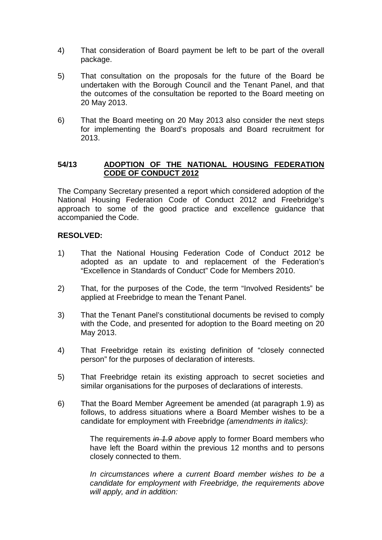- 4) That consideration of Board payment be left to be part of the overall package.
- 5) That consultation on the proposals for the future of the Board be undertaken with the Borough Council and the Tenant Panel, and that the outcomes of the consultation be reported to the Board meeting on 20 May 2013.
- 6) That the Board meeting on 20 May 2013 also consider the next steps for implementing the Board's proposals and Board recruitment for 2013.

### **54/13 ADOPTION OF THE NATIONAL HOUSING FEDERATION CODE OF CONDUCT 2012**

The Company Secretary presented a report which considered adoption of the National Housing Federation Code of Conduct 2012 and Freebridge's approach to some of the good practice and excellence guidance that accompanied the Code.

### **RESOLVED:**

- 1) That the National Housing Federation Code of Conduct 2012 be adopted as an update to and replacement of the Federation's "Excellence in Standards of Conduct" Code for Members 2010.
- 2) That, for the purposes of the Code, the term "Involved Residents" be applied at Freebridge to mean the Tenant Panel.
- 3) That the Tenant Panel's constitutional documents be revised to comply with the Code, and presented for adoption to the Board meeting on 20 May 2013.
- 4) That Freebridge retain its existing definition of "closely connected person" for the purposes of declaration of interests.
- 5) That Freebridge retain its existing approach to secret societies and similar organisations for the purposes of declarations of interests.
- 6) That the Board Member Agreement be amended (at paragraph 1.9) as follows, to address situations where a Board Member wishes to be a candidate for employment with Freebridge *(amendments in italics)*:

The requirements *in 1.9 above* apply to former Board members who have left the Board within the previous 12 months and to persons closely connected to them.

*In circumstances where a current Board member wishes to be a candidate for employment with Freebridge, the requirements above will apply, and in addition:*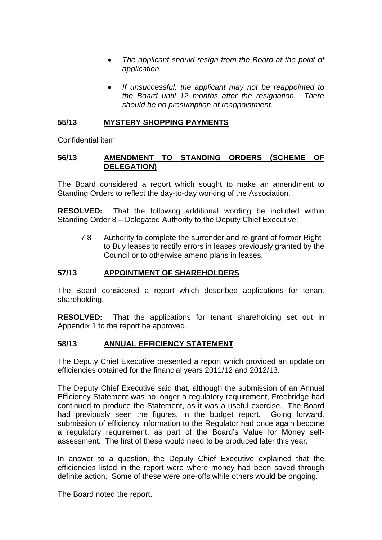- *The applicant should resign from the Board at the point of application.*
- *If unsuccessful, the applicant may not be reappointed to the Board until 12 months after the resignation. There should be no presumption of reappointment.*

### **55/13 MYSTERY SHOPPING PAYMENTS**

Confidential item

### **56/13 AMENDMENT TO STANDING ORDERS (SCHEME OF DELEGATION)**

The Board considered a report which sought to make an amendment to Standing Orders to reflect the day-to-day working of the Association.

**RESOLVED:** That the following additional wording be included within Standing Order 8 – Delegated Authority to the Deputy Chief Executive:

7.8 Authority to complete the surrender and re-grant of former Right to Buy leases to rectify errors in leases previously granted by the Council or to otherwise amend plans in leases.

### **57/13 APPOINTMENT OF SHAREHOLDERS**

The Board considered a report which described applications for tenant shareholding.

**RESOLVED:** That the applications for tenant shareholding set out in Appendix 1 to the report be approved.

#### **58/13 ANNUAL EFFICIENCY STATEMENT**

The Deputy Chief Executive presented a report which provided an update on efficiencies obtained for the financial years 2011/12 and 2012/13.

The Deputy Chief Executive said that, although the submission of an Annual Efficiency Statement was no longer a regulatory requirement, Freebridge had continued to produce the Statement, as it was a useful exercise. The Board had previously seen the figures, in the budget report. Going forward, submission of efficiency information to the Regulator had once again become a regulatory requirement, as part of the Board's Value for Money selfassessment. The first of these would need to be produced later this year.

In answer to a question, the Deputy Chief Executive explained that the efficiencies listed in the report were where money had been saved through definite action. Some of these were one-offs while others would be ongoing.

The Board noted the report.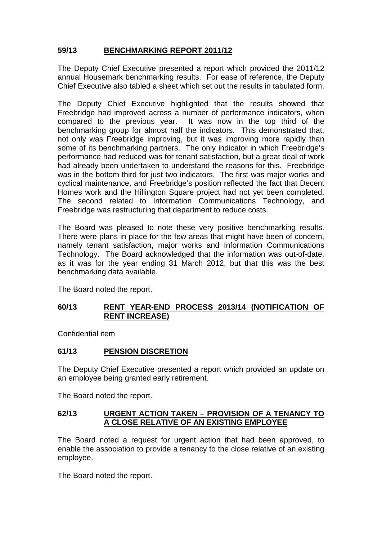# **59/13 BENCHMARKING REPORT 2011/12**

The Deputy Chief Executive presented a report which provided the 2011/12 annual Housemark benchmarking results. For ease of reference, the Deputy Chief Executive also tabled a sheet which set out the results in tabulated form.

The Deputy Chief Executive highlighted that the results showed that Freebridge had improved across a number of performance indicators, when compared to the previous year. It was now in the top third of the benchmarking group for almost half the indicators. This demonstrated that, not only was Freebridge improving, but it was improving more rapidly than some of its benchmarking partners. The only indicator in which Freebridge's performance had reduced was for tenant satisfaction, but a great deal of work had already been undertaken to understand the reasons for this. Freebridge was in the bottom third for just two indicators. The first was major works and cyclical maintenance, and Freebridge's position reflected the fact that Decent Homes work and the Hillington Square project had not yet been completed. The second related to Information Communications Technology, and Freebridge was restructuring that department to reduce costs.

The Board was pleased to note these very positive benchmarking results. There were plans in place for the few areas that might have been of concern, namely tenant satisfaction, major works and Information Communications Technology. The Board acknowledged that the information was out-of-date, as it was for the year ending 31 March 2012, but that this was the best benchmarking data available.

The Board noted the report.

### **60/13 RENT YEAR-END PROCESS 2013/14 (NOTIFICATION OF RENT INCREASE)**

Confidential item

# **61/13 PENSION DISCRETION**

The Deputy Chief Executive presented a report which provided an update on an employee being granted early retirement.

The Board noted the report.

#### **62/13 URGENT ACTION TAKEN – PROVISION OF A TENANCY TO A CLOSE RELATIVE OF AN EXISTING EMPLOYEE**

The Board noted a request for urgent action that had been approved, to enable the association to provide a tenancy to the close relative of an existing employee.

The Board noted the report.